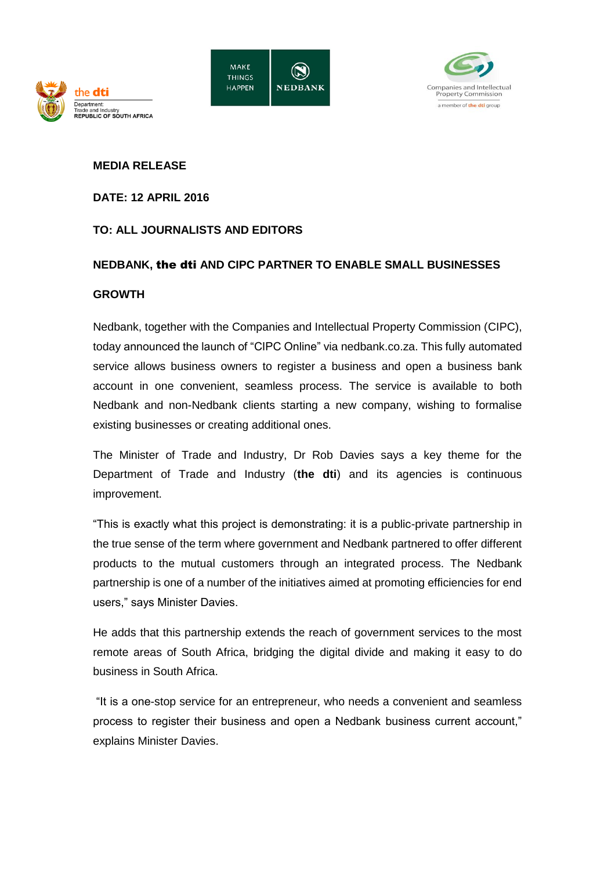



## **MEDIA RELEASE**

the **dti** 

**EPUBLIC OF SOUTH AFRICA** 

epartment

**DATE: 12 APRIL 2016**

## **TO: ALL JOURNALISTS AND EDITORS**

## **NEDBANK,** the dti **AND CIPC PARTNER TO ENABLE SMALL BUSINESSES**

## **GROWTH**

Nedbank, together with the Companies and Intellectual Property Commission (CIPC), today announced the launch of "CIPC Online" via nedbank.co.za. This fully automated service allows business owners to register a business and open a business bank account in one convenient, seamless process. The service is available to both Nedbank and non-Nedbank clients starting a new company, wishing to formalise existing businesses or creating additional ones.

The Minister of Trade and Industry, Dr Rob Davies says a key theme for the Department of Trade and Industry (**the dti**) and its agencies is continuous improvement.

"This is exactly what this project is demonstrating: it is a public-private partnership in the true sense of the term where government and Nedbank partnered to offer different products to the mutual customers through an integrated process. The Nedbank partnership is one of a number of the initiatives aimed at promoting efficiencies for end users," says Minister Davies.

He adds that this partnership extends the reach of government services to the most remote areas of South Africa, bridging the digital divide and making it easy to do business in South Africa.

"It is a one-stop service for an entrepreneur, who needs a convenient and seamless process to register their business and open a Nedbank business current account," explains Minister Davies.